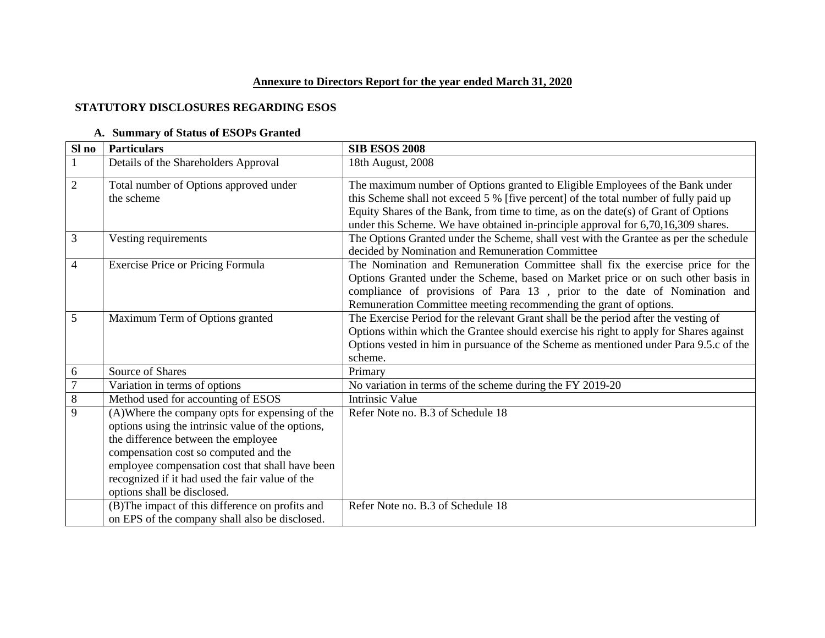## **Annexure to Directors Report for the year ended March 31, 2020**

## **STATUTORY DISCLOSURES REGARDING ESOS**

## **A. Summary of Status of ESOPs Granted**

| Sl no          | <b>Particulars</b>                                | <b>SIB ESOS 2008</b>                                                                   |
|----------------|---------------------------------------------------|----------------------------------------------------------------------------------------|
|                | Details of the Shareholders Approval              | 18th August, 2008                                                                      |
| $\overline{2}$ | Total number of Options approved under            | The maximum number of Options granted to Eligible Employees of the Bank under          |
|                | the scheme                                        | this Scheme shall not exceed 5 % [five percent] of the total number of fully paid up   |
|                |                                                   | Equity Shares of the Bank, from time to time, as on the date(s) of Grant of Options    |
|                |                                                   | under this Scheme. We have obtained in-principle approval for 6,70,16,309 shares.      |
| 3              | Vesting requirements                              | The Options Granted under the Scheme, shall vest with the Grantee as per the schedule  |
|                |                                                   | decided by Nomination and Remuneration Committee                                       |
| $\overline{4}$ | <b>Exercise Price or Pricing Formula</b>          | The Nomination and Remuneration Committee shall fix the exercise price for the         |
|                |                                                   | Options Granted under the Scheme, based on Market price or on such other basis in      |
|                |                                                   | compliance of provisions of Para 13, prior to the date of Nomination and               |
|                |                                                   | Remuneration Committee meeting recommending the grant of options.                      |
| 5              | Maximum Term of Options granted                   | The Exercise Period for the relevant Grant shall be the period after the vesting of    |
|                |                                                   | Options within which the Grantee should exercise his right to apply for Shares against |
|                |                                                   | Options vested in him in pursuance of the Scheme as mentioned under Para 9.5.c of the  |
|                |                                                   | scheme.                                                                                |
| 6              | Source of Shares                                  | Primary                                                                                |
| $\overline{7}$ | Variation in terms of options                     | No variation in terms of the scheme during the FY 2019-20                              |
| $\,8\,$        | Method used for accounting of ESOS                | <b>Intrinsic Value</b>                                                                 |
| 9              | (A) Where the company opts for expensing of the   | Refer Note no. B.3 of Schedule 18                                                      |
|                | options using the intrinsic value of the options, |                                                                                        |
|                | the difference between the employee               |                                                                                        |
|                | compensation cost so computed and the             |                                                                                        |
|                | employee compensation cost that shall have been   |                                                                                        |
|                | recognized if it had used the fair value of the   |                                                                                        |
|                | options shall be disclosed.                       |                                                                                        |
|                | (B) The impact of this difference on profits and  | Refer Note no. B.3 of Schedule 18                                                      |
|                | on EPS of the company shall also be disclosed.    |                                                                                        |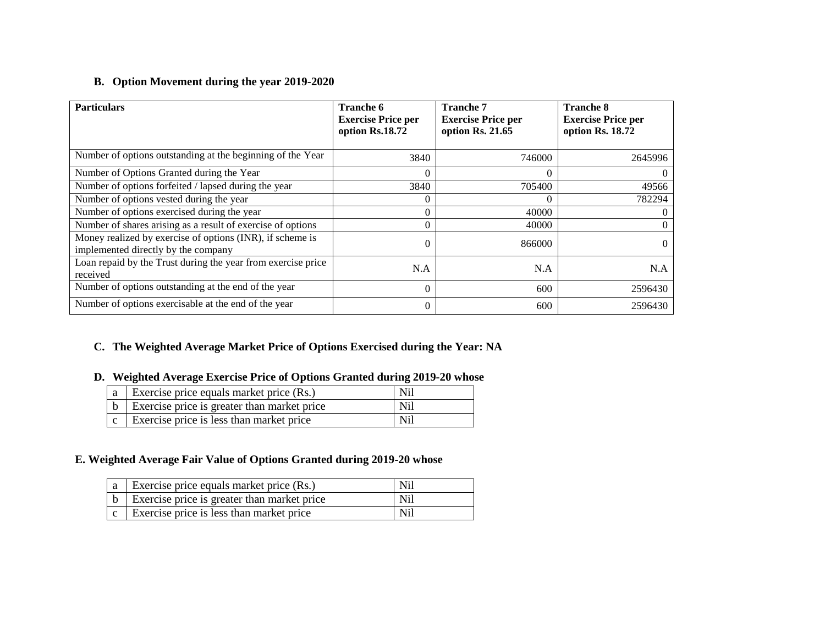# **B. Option Movement during the year 2019-2020**

| <b>Particulars</b>                                                                               | <b>Tranche 6</b><br><b>Exercise Price per</b><br>option Rs.18.72 | <b>Tranche 7</b><br><b>Exercise Price per</b><br>option Rs. 21.65 | <b>Tranche 8</b><br><b>Exercise Price per</b><br>option Rs. 18.72 |
|--------------------------------------------------------------------------------------------------|------------------------------------------------------------------|-------------------------------------------------------------------|-------------------------------------------------------------------|
| Number of options outstanding at the beginning of the Year                                       | 3840                                                             | 746000                                                            | 2645996                                                           |
| Number of Options Granted during the Year                                                        | $\Omega$                                                         |                                                                   |                                                                   |
| Number of options forfeited / lapsed during the year                                             | 3840                                                             | 705400                                                            | 49566                                                             |
| Number of options vested during the year                                                         | 0                                                                |                                                                   | 782294                                                            |
| Number of options exercised during the year                                                      | $\theta$                                                         | 40000                                                             |                                                                   |
| Number of shares arising as a result of exercise of options                                      | $\Omega$                                                         | 40000                                                             |                                                                   |
| Money realized by exercise of options (INR), if scheme is<br>implemented directly by the company | $\theta$                                                         | 866000                                                            |                                                                   |
| Loan repaid by the Trust during the year from exercise price<br>received                         | N.A                                                              | N.A                                                               | N.A                                                               |
| Number of options outstanding at the end of the year                                             | $\theta$                                                         | 600                                                               | 2596430                                                           |
| Number of options exercisable at the end of the year                                             | $\theta$                                                         | 600                                                               | 2596430                                                           |

# **C. The Weighted Average Market Price of Options Exercised during the Year: NA**

### **D. Weighted Average Exercise Price of Options Granted during 2019-20 whose**

| $ a $ Exercise price equals market price (Rs.)              | Nil |
|-------------------------------------------------------------|-----|
| $\vert b \vert$ Exercise price is greater than market price | Nil |
| $\vert c \vert$ Exercise price is less than market price    | Nil |

### **E. Weighted Average Fair Value of Options Granted during 2019-20 whose**

| $\vert a \vert$ Exercise price equals market price (Rs.)    | Nil |
|-------------------------------------------------------------|-----|
| $\vert b \vert$ Exercise price is greater than market price | Nil |
| $\vert c \vert$ Exercise price is less than market price    | Nil |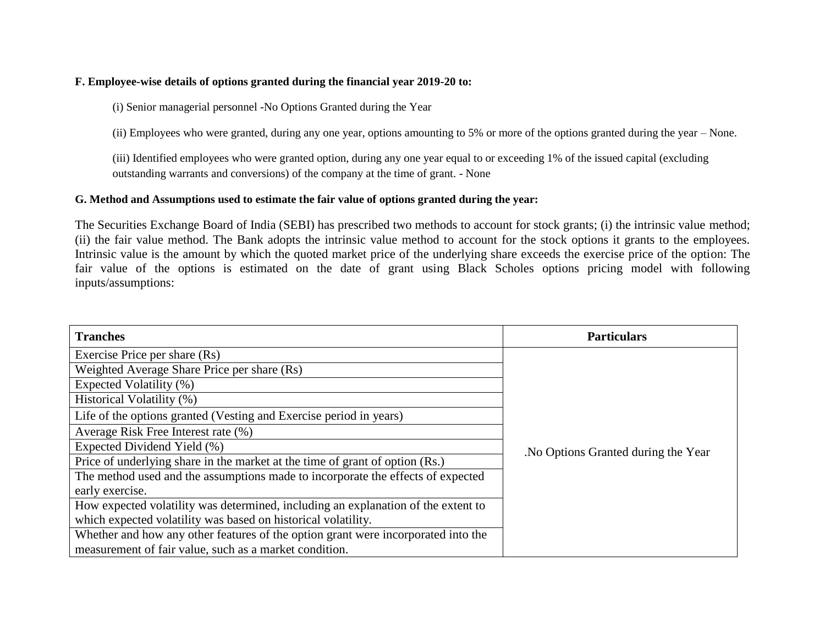#### **F. Employee-wise details of options granted during the financial year 2019-20 to:**

(i) Senior managerial personnel -No Options Granted during the Year

(ii) Employees who were granted, during any one year, options amounting to 5% or more of the options granted during the year – None.

(iii) Identified employees who were granted option, during any one year equal to or exceeding 1% of the issued capital (excluding outstanding warrants and conversions) of the company at the time of grant. - None

#### **G. Method and Assumptions used to estimate the fair value of options granted during the year:**

The Securities Exchange Board of India (SEBI) has prescribed two methods to account for stock grants; (i) the intrinsic value method; (ii) the fair value method. The Bank adopts the intrinsic value method to account for the stock options it grants to the employees. Intrinsic value is the amount by which the quoted market price of the underlying share exceeds the exercise price of the option: The fair value of the options is estimated on the date of grant using Black Scholes options pricing model with following inputs/assumptions:

| <b>Tranches</b>                                                                   | <b>Particulars</b>                  |
|-----------------------------------------------------------------------------------|-------------------------------------|
| Exercise Price per share (Rs)                                                     |                                     |
| Weighted Average Share Price per share (Rs)                                       |                                     |
| Expected Volatility (%)                                                           |                                     |
| Historical Volatility (%)                                                         |                                     |
| Life of the options granted (Vesting and Exercise period in years)                |                                     |
| Average Risk Free Interest rate (%)                                               |                                     |
| Expected Dividend Yield (%)                                                       | No Options Granted during the Year. |
| Price of underlying share in the market at the time of grant of option (Rs.)      |                                     |
| The method used and the assumptions made to incorporate the effects of expected   |                                     |
| early exercise.                                                                   |                                     |
| How expected volatility was determined, including an explanation of the extent to |                                     |
| which expected volatility was based on historical volatility.                     |                                     |
| Whether and how any other features of the option grant were incorporated into the |                                     |
| measurement of fair value, such as a market condition.                            |                                     |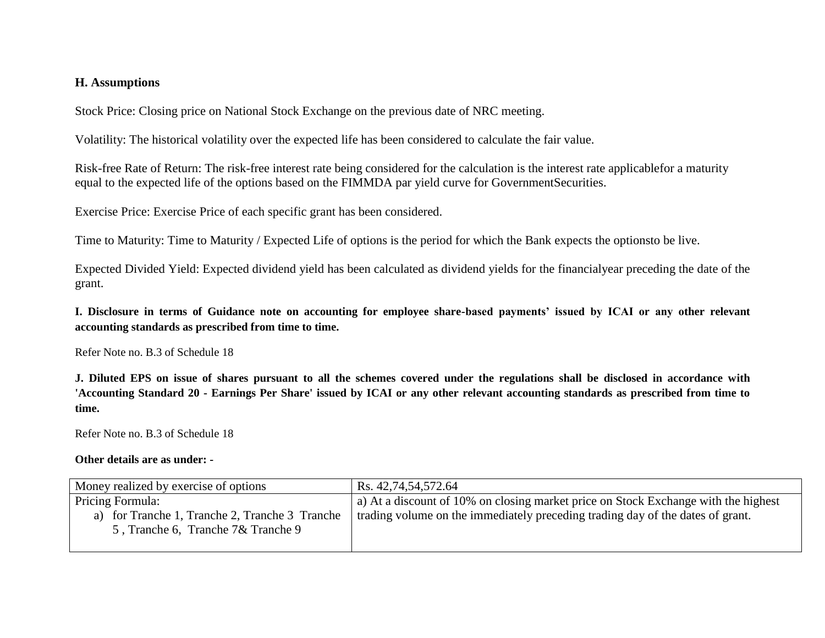### **H. Assumptions**

Stock Price: Closing price on National Stock Exchange on the previous date of NRC meeting.

Volatility: The historical volatility over the expected life has been considered to calculate the fair value.

Risk-free Rate of Return: The risk-free interest rate being considered for the calculation is the interest rate applicablefor a maturity equal to the expected life of the options based on the FIMMDA par yield curve for GovernmentSecurities.

Exercise Price: Exercise Price of each specific grant has been considered.

Time to Maturity: Time to Maturity / Expected Life of options is the period for which the Bank expects the optionsto be live.

Expected Divided Yield: Expected dividend yield has been calculated as dividend yields for the financialyear preceding the date of the grant.

**I. Disclosure in terms of Guidance note on accounting for employee share-based payments' issued by ICAI or any other relevant accounting standards as prescribed from time to time.**

Refer Note no. B.3 of Schedule 18

**J. Diluted EPS on issue of shares pursuant to all the schemes covered under the regulations shall be disclosed in accordance with 'Accounting Standard 20 - Earnings Per Share' issued by ICAI or any other relevant accounting standards as prescribed from time to time.** 

Refer Note no. B.3 of Schedule 18

#### **Other details are as under: -**

| Money realized by exercise of options                                                                    | Rs. 42,74,54,572.64                                                                                                                                                  |
|----------------------------------------------------------------------------------------------------------|----------------------------------------------------------------------------------------------------------------------------------------------------------------------|
| Pricing Formula:<br>a) for Tranche 1, Tranche 2, Tranche 3 Tranche<br>5, Tranche 6, Tranche 7& Tranche 9 | a) At a discount of 10% on closing market price on Stock Exchange with the highest<br>trading volume on the immediately preceding trading day of the dates of grant. |
|                                                                                                          |                                                                                                                                                                      |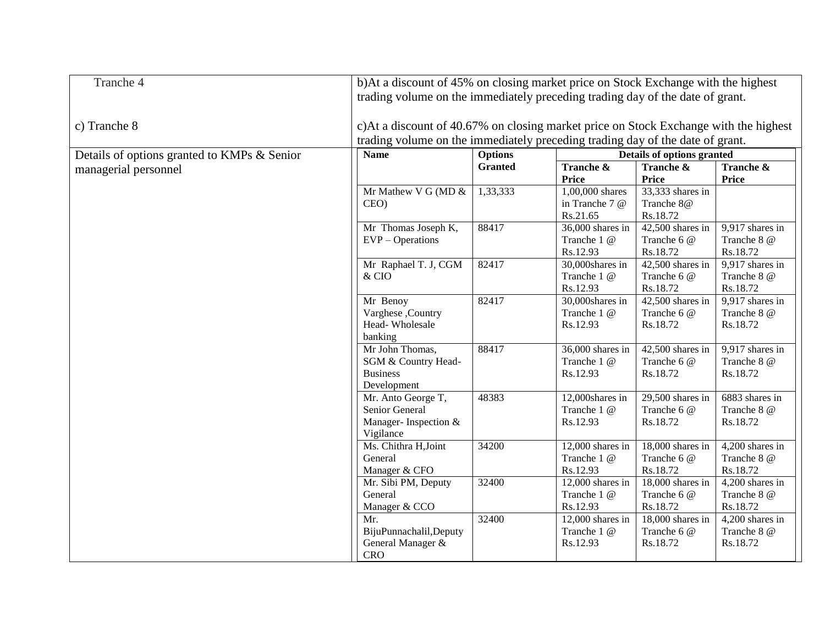| Tranche 4                                   | b)At a discount of 45% on closing market price on Stock Exchange with the highest<br>trading volume on the immediately preceding trading day of the date of grant.    |                |                    |                    |                   |
|---------------------------------------------|-----------------------------------------------------------------------------------------------------------------------------------------------------------------------|----------------|--------------------|--------------------|-------------------|
| c) Tranche 8                                | c)At a discount of 40.67% on closing market price on Stock Exchange with the highest<br>trading volume on the immediately preceding trading day of the date of grant. |                |                    |                    |                   |
| Details of options granted to KMPs & Senior | <b>Name</b><br><b>Options</b><br>Details of options granted                                                                                                           |                |                    |                    |                   |
| managerial personnel                        |                                                                                                                                                                       | <b>Granted</b> | Tranche &          | Tranche &          | Tranche &         |
|                                             |                                                                                                                                                                       |                | Price              | <b>Price</b>       | <b>Price</b>      |
|                                             | Mr Mathew V G (MD &                                                                                                                                                   | 1,33,333       | 1,00,000 shares    | 33,333 shares in   |                   |
|                                             | CEO)                                                                                                                                                                  |                | in Tranche 7 @     | Tranche 8@         |                   |
|                                             |                                                                                                                                                                       |                | Rs.21.65           | Rs.18.72           |                   |
|                                             | Mr Thomas Joseph K,                                                                                                                                                   | 88417          | 36,000 shares in   | $42,500$ shares in | 9,917 shares in   |
|                                             | $EVP - Operations$                                                                                                                                                    |                | Tranche 1 @        | Tranche 6 @        | Tranche 8 @       |
|                                             |                                                                                                                                                                       |                | Rs.12.93           | Rs.18.72           | Rs.18.72          |
|                                             | Mr Raphael T. J, CGM                                                                                                                                                  | 82417          | 30,000shares in    | 42,500 shares in   | 9,917 shares in   |
|                                             | & CIO                                                                                                                                                                 |                | Tranche 1 @        | Tranche 6 @        | Tranche 8 @       |
|                                             |                                                                                                                                                                       |                | Rs.12.93           | Rs.18.72           | Rs.18.72          |
|                                             | Mr Benoy                                                                                                                                                              | 82417          | 30,000shares in    | $42,500$ shares in | 9,917 shares in   |
|                                             | Varghese, Country                                                                                                                                                     |                | Tranche 1 @        | Tranche 6 @        | Tranche 8 @       |
|                                             | Head-Wholesale                                                                                                                                                        |                | Rs.12.93           | Rs.18.72           | Rs.18.72          |
|                                             | banking                                                                                                                                                               |                |                    |                    |                   |
|                                             | Mr John Thomas,                                                                                                                                                       | 88417          | $36,000$ shares in | $42,500$ shares in | 9,917 shares in   |
|                                             | SGM & Country Head-                                                                                                                                                   |                | Tranche 1 @        | Tranche 6 @        | Tranche 8 @       |
|                                             | <b>Business</b>                                                                                                                                                       |                | Rs.12.93           | Rs.18.72           | Rs.18.72          |
|                                             | Development                                                                                                                                                           |                |                    |                    |                   |
|                                             | Mr. Anto George T,                                                                                                                                                    | 48383          | 12,000shares in    | $29,500$ shares in | 6883 shares in    |
|                                             | Senior General                                                                                                                                                        |                | Tranche 1 @        | Tranche 6 @        | Tranche 8 @       |
|                                             | Manager-Inspection &                                                                                                                                                  |                | Rs.12.93           | Rs.18.72           | Rs.18.72          |
|                                             | Vigilance                                                                                                                                                             |                |                    |                    |                   |
|                                             | Ms. Chithra H, Joint                                                                                                                                                  | 34200          | $12,000$ shares in | 18,000 shares in   | $4,200$ shares in |
|                                             | General                                                                                                                                                               |                | Tranche 1 @        | Tranche 6 @        | Tranche 8 @       |
|                                             | Manager & CFO                                                                                                                                                         |                | Rs.12.93           | Rs.18.72           | Rs.18.72          |
|                                             | Mr. Sibi PM, Deputy                                                                                                                                                   | 32400          | $12,000$ shares in | 18,000 shares in   | $4,200$ shares in |
|                                             | General                                                                                                                                                               |                | Tranche 1 @        | Tranche 6 @        | Tranche 8 @       |
|                                             | Manager & CCO                                                                                                                                                         |                | Rs.12.93           | Rs.18.72           | Rs.18.72          |
|                                             | Mr.                                                                                                                                                                   | 32400          | 12,000 shares in   | 18,000 shares in   | 4,200 shares in   |
|                                             | BijuPunnachalil,Deputy                                                                                                                                                |                | Tranche 1 @        | Tranche 6 @        | Tranche 8 @       |
|                                             | General Manager &                                                                                                                                                     |                | Rs.12.93           | Rs.18.72           | Rs.18.72          |
|                                             | <b>CRO</b>                                                                                                                                                            |                |                    |                    |                   |